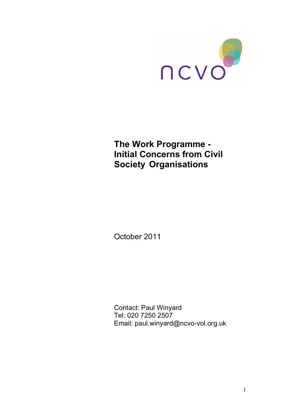

# **The Work Programme - Initial Concerns from Civil Society Organisations**

October 2011

Contact: Paul Winyard Tel: 020 7250 2507 Email: paul.winyard@ncvo-vol.org.uk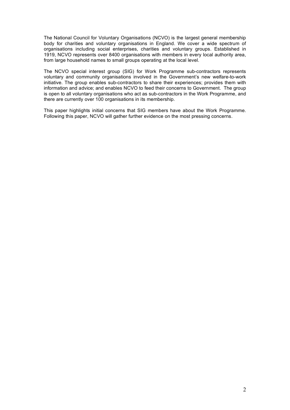The National Council for Voluntary Organisations (NCVO) is the largest general membership body for charities and voluntary organisations in England. We cover a wide spectrum of organisations including social enterprises, charities and voluntary groups. Established in 1919, NCVO represents over 8400 organisations with members in every local authority area, from large household names to small groups operating at the local level.

The NCVO special interest group (SIG) for Work Programme sub-contractors represents voluntary and community organisations involved in the Government's new welfare-to-work initiative. The group enables sub-contractors to share their experiences; provides them with information and advice; and enables NCVO to feed their concerns to Government. The group is open to all voluntary organisations who act as sub-contractors in the Work Programme, and there are currently over 100 organisations in its membership.

This paper highlights initial concerns that SIG members have about the Work Programme. Following this paper, NCVO will gather further evidence on the most pressing concerns.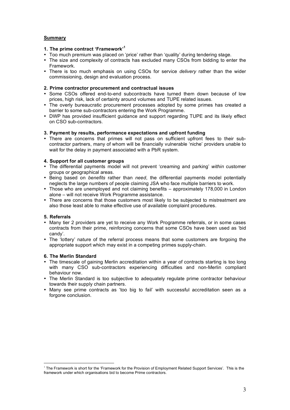# **Summary**

# **1. The prime contract 'Framework' 1**

- Too much premium was placed on 'price' rather than 'quality' during tendering stage.
- The size and complexity of contracts has excluded many CSOs from bidding to enter the Framework.
- There is too much emphasis on using CSOs for service *delivery* rather than the wider commissioning, design and evaluation process.

## **2. Prime contractor procurement and contractual issues**

- Some CSOs offered end-to-end subcontracts have turned them down because of low prices, high risk, lack of certainty around volumes and TUPE related issues.
- The overly bureaucratic procurement processes adopted by some primes has created a barrier to some sub-contractors entering the Work Programme.
- DWP has provided insufficient guidance and support regarding TUPE and its likely effect on CSO sub-contractors.

## **3. Payment by results, performance expectations and upfront funding**

• There are concerns that primes will not pass on sufficient upfront fees to their subcontractor partners, many of whom will be financially vulnerable 'niche' providers unable to wait for the delay in payment associated with a PbR system.

## **4. Support for all customer groups**

- The differential payments model will not prevent 'creaming and parking' *within* customer groups or geographical areas.
- Being based on *benefits* rather than *need*, the differential payments model potentially neglects the large numbers of people claiming JSA who face multiple barriers to work.
- Those who are unemployed and not claiming benefits approximately 178,000 in London alone – will not receive Work Programme assistance.
- There are concerns that those customers most likely to be subjected to mistreatment are also those least able to make effective use of available complaint procedures.

# **5. Referrals**

- Many tier 2 providers are yet to receive any Work Programme referrals, or in some cases contracts from their prime, reinforcing concerns that some CSOs have been used as 'bid candy'.
- The 'lottery' nature of the referral process means that some customers are forgoing the appropriate support which may exist in a competing primes supply-chain.

## **6. The Merlin Standard**

- The timescale of gaining Merlin accreditation within a year of contracts starting is too long with many CSO sub-contractors experiencing difficulties and non-Merlin compliant behaviour now.
- The Merlin Standard is too subjective to adequately regulate prime contractor behaviour towards their supply chain partners.
- Many see prime contracts as 'too big to fail' with successful accreditation seen as a forgone conclusion.

<sup>&</sup>lt;sup>1</sup> The Framework is short for the 'Framework for the Provision of Employment Related Support Services'. This is the framework under which organisations bid to become Prime contractors.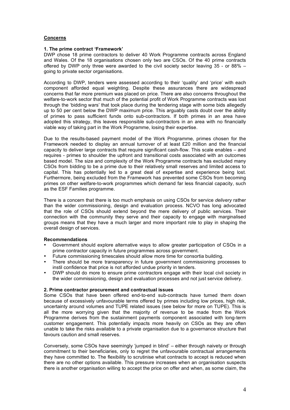# **Concerns**

## **1. The prime contract 'Framework'**

DWP chose 18 prime contractors to deliver 40 Work Programme contracts across England and Wales. Of the 18 organisations chosen only two are CSOs. Of the 40 prime contracts offered by DWP only three were awarded to the civil society sector leaving 35 - or 88% – going to private sector organisations.

According to DWP, tenders were assessed according to their 'quality' and 'price' with each component afforded equal weighting. Despite these assurances there are widespread concerns that far more premium was placed on price. There are also concerns throughout the welfare-to-work sector that much of the potential profit of Work Programme contracts was lost through the 'bidding wars' that took place during the tendering stage with some bids allegedly up to 50 per cent below the DWP maximum price. This arguably casts doubt over the ability of primes to pass sufficient funds onto sub-contractors. If both primes in an area have adopted this strategy, this leaves responsible sub-contractors in an area with no financially viable way of taking part in the Work Programme, losing their expertise.

Due to the results-based payment model of the Work Programme, primes chosen for the Framework needed to display an annual turnover of at least £20 million and the financial capacity to deliver large contracts that require significant cash-flow. This scale enables – and requires - primes to shoulder the upfront and transitional costs associated with an outcomes based model. The size and complexity of the Work Programme contracts has excluded many CSOs from bidding to be a prime due to their relatively small reserves and limited access to capital. This has potentially led to a great deal of expertise and experience being lost. Furthermore, being excluded from the Framework has prevented some CSOs from becoming primes on other welfare-to-work programmes which demand far less financial capacity, such as the ESF Families programme.

There is a concern that there is too much emphasis on using CSOs for service *delivery* rather than the wider commissioning, design and evaluation process. NCVO has long advocated that the role of CSOs should extend beyond the mere delivery of public services. Their connection with the community they serve and their capacity to engage with marginalised groups means that they have a much larger and more important role to play in shaping the overall design of services.

## **Recommendations**

- Government should explore alternative ways to allow greater participation of CSOs in a prime contractor capacity in future programmes across government.
- Future commissioning timescales should allow more time for consortia building.
- There should be more transparency in future government commissioning processes to instil confidence that price is not afforded undue priority in tenders.
- DWP should do more to ensure prime contractors engage with their local civil society in the wider commissioning, design and evaluation processes and not just service delivery.

## **2. Prime contractor procurement and contractual issues**

Some CSOs that have been offered end-to-end sub-contracts have turned them down because of excessively unfavourable terms offered by primes including low prices, high risk, uncertainty around volumes and TUPE related issues (see below for more on TUPE). This is all the more worrying given that the majority of revenue to be made from the Work Programme derives from the sustainment payments component associated with long-term customer engagement. This potentially impacts more heavily on CSOs as they are often unable to take the risks available to a private organisation due to a governance structure that favours caution and small reserves.

Conversely, some CSOs have seemingly 'jumped in blind' – either through naivety or through commitment to their beneficiaries, only to regret the unfavourable contractual arrangements they have committed to. The flexibility to scrutinise what contracts to accept is reduced when there are no other options available. This pressure increases when an organisation suspects there is another organisation willing to accept the price on offer and when, as some claim, the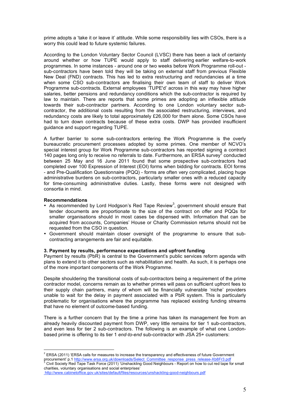prime adopts a 'take it or leave it' attitude. While some responsibility lies with CSOs, there is a worry this could lead to future systemic failures.

According to the London Voluntary Sector Council (LVSC) there has been a lack of certainty around whether or how TUPE would apply to staff delivering earlier welfare-to-work programmes. In some instances - around one or two weeks before Work Programme roll-out sub-contractors have been told they will be taking on external staff from previous Flexible New Deal (FND) contracts. This has led to extra restructuring and redundancies at a time when some CSO sub-contractors are finalising their own team of staff to deliver Work Programme sub-contracts. External employees 'TUPE'd' across in this way may have higher salaries, better pensions and redundancy conditions which the sub-contractor is required by law to maintain. There are reports that some primes are adopting an inflexible attitude towards their sub-contractor partners. According to one London voluntary sector subcontractor, the additional costs resulting from the associated restructuring, interviews, and redundancy costs are likely to total approximately £26,000 for them alone. Some CSOs have had to turn down contracts because of these extra costs. DWP has provided insufficient guidance and support regarding TUPE.

A further barrier to some sub-contractors entering the Work Programme is the overly bureaucratic procurement processes adopted by some primes. One member of NCVO's special interest group for Work Programme sub-contractors has reported signing a contract 140 pages long only to receive no referrals to date. Furthermore, an ERSA survey <sup>2</sup> conducted between 25 May and 16 June 2011 found that some prospective sub-contractors had completed over 100 Expression of Interest (EOI) forms when bidding for contracts. EOI forms - and Pre-Qualification Questionnaire (PQQ) - forms are often very complicated, placing huge administrative burdens on sub-contractors, particularly smaller ones with a reduced capacity for time-consuming administrative duties. Lastly, these forms were not designed with consortia in mind.

## **Recommendations**

 $\overline{a}$ 

- As recommended by Lord Hodgson's Red Tape Review<sup>3</sup>, government should ensure that tender documents are proportionate to the size of the contract on offer and PQQs for smaller organisations should in most cases be dispensed with. Information that can be acquired from accounts, Companies' House or Charity Commission returns should not be requested from the CSO in question.
- Government should maintain closer oversight of the programme to ensure that subcontracting arrangements are fair and equitable.

## **3. Payment by results, performance expectations and upfront funding**

Payment by results (PbR) is central to the Government's public services reform agenda with plans to extend it to other sectors such as rehabilitation and health. As such, it is perhaps one of the more important components of the Work Programme.

Despite shouldering the transitional costs of sub-contractors being a requirement of the prime contractor model, concerns remain as to whether primes will pass on sufficient upfront fees to their supply chain partners, many of whom will be financially vulnerable 'niche' providers unable to wait for the delay in payment associated with a PbR system. This is particularly problematic for organisations where the programme has replaced existing funding streams that have no element of outcome-based funding.

There is a further concern that by the time a prime has taken its management fee from an already heavily discounted payment from DWP, very little remains for tier 1 sub-contractors, and even less for tier 2 sub-contractors. The following is an example of what one Londonbased prime is offering to its tier 1 *end-to-end* sub-contractor with JSA 25+ customers:

 $^2$  ERSA (2011) 'ERSA calls for measures to increase the transparency and effectiveness of future Government procurement' p.1 http://www.ersa.org.uk/downloads/Select\_Committee\_response\_press\_release-Xb8Fr3.pdf<br><sup>3</sup> Civil Society Red Tape Task Force (2011) 'Unshackling Good Neighbours - Report on how to cut red tape for small charities, voluntary organisations and social enterprises'

http://www.cabinetoffice.gov.uk/sites/default/files/resources/unshackling-good-neighbours.pdf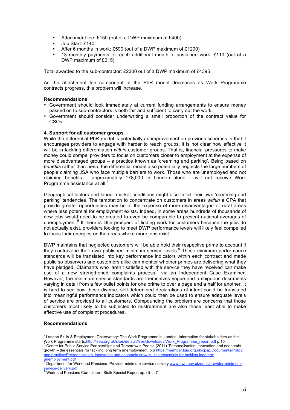- Attachment fee: £150 (out of a DWP maximum of £400)
- Job Start: £140
- After 6 months in work: £590 (out of a DWP maximum of £1200)
- 13 monthly payments for each additional month of sustained work: £110 (out of a DWP maximum of £215)

Total awarded to the sub-contractor: £2300 out of a DWP maximum of £4395.

As the attachment fee component of the PbR model decreases as Work Programme contracts progress, this problem will increase.

## **Recommendations**

- Government should look immediately at current funding arrangements to ensure money passed on to sub-contractors is both fair and sufficient to carry out the work.
- Government should consider underwriting a small proportion of the contract value for CSOs.

## **4. Support for all customer groups**

While the differential PbR model is potentially an improvement on previous schemes in that it encourages providers to engage with harder to reach groups, it is not clear how effective it will be in tackling differentiation *within* customer groups. That is, financial pressures to make money could compel providers to focus on customers closer to employment at the expense of more disadvantaged groups – a practice known as 'creaming and parking'. Being based on *benefits* rather than *need*, the differential model also potentially neglects the large numbers of people claiming JSA who face multiple barriers to work. Those who are unemployed and not claiming benefits – approximately 178,000 in London alone – will not receive Work Programme assistance at all.<sup>4</sup>

Geographical factors and labour market conditions might also inflict their own 'creaming and parking' tendencies. The temptation to concentrate on customers in areas *within* a CPA that provide greater opportunities may be at the expense of more disadvantaged or rural areas where less potential for employment exists. Indeed, in some areas hundreds of thousands of new jobs would need to be created to even be comparable to present national averages of unemployment.<sup>5</sup> If there is little prospect of finding work for customers because the jobs do not actually exist, providers looking to meet DWP performance levels will likely feel compelled to focus their energies on the areas where more jobs exist.

DWP maintains that neglected customers will be able hold their respective prime to account if they contravene their own published minimum service levels.<sup>6</sup> These minimum performance standards will be translated into key performance indicators within each contract and made public so observers and customers alike can monitor whether primes are delivering what they have pledged. Claimants who 'aren't satisfied with the service they have received can make use of a new strengthened complaints process<sup>7</sup> via an Independent Case Examiner. However, the minimum service standards are themselves vague and ambiguous documents varying in detail from a few bullet points for one prime to over a page and a half for another. It is hard to see how these diverse, self-determined declarations of intent could be translated into meaningful performance indicators which could then be used to ensure adequate levels of service are provided to all customers. Compounding the problem are concerns that those customers most likely to be subjected to mistreatment are also those least able to make effective use of complaint procedures.

## **Recommendations**

 <sup>4</sup> London Skills & Employment Observatory: The Work Programme in London: Information for stakeholders as the Work Programme starts.http://lseo.org.uk/sites/default/files/downloads/Work\_Programme\_report.pdf p.15 5<br>
<sup>5</sup> Centre for Public Service Partnerships and Tomorrow's People (2011) 'Personalisation, innovation and economic

growth – the essentials for tackling long term unemployment' p.6 https://member.lgiu.org.uk/cpsp/Documents/Policy and practice/Personalisation, innovation and economic growth - the essentials for tackling longterm

unemployment.pdf<br>
<sup>6</sup> Department for Work and Pensions: Provider minimum service delivery www.dwp.gov.uk/docs/provider-minimumservice-delivery.pdf<br>
<sup>7</sup> Work and Pensions Committee - Sixth Special Report op. cit. p.7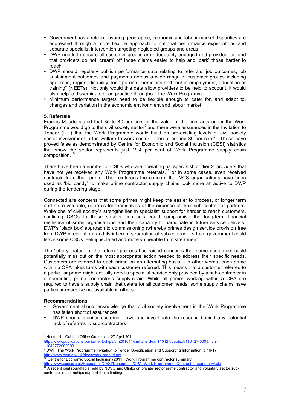- Government has a role in ensuring geographic, economic and labour market disparities are addressed through a more flexible approach to national performance expectations and separate specialist intervention targeting neglected groups and areas.
- DWP needs to ensure all customer groups are adequately engaged and provided for, and that providers do not 'cream' off those clients easier to help and 'park' those harder to reach.
- DWP should regularly publish performance data relating to referrals, job outcomes, job sustainment outcomes and payments across a wide range of customer groups including age, race, region, disability, lone parents, homeless and "not in employment, education or training" (NEETs). Not only would this data allow providers to be held to account, it would also help to disseminate good practice throughout the Work Programme.
- Minimum performance targets need to be flexible enough to cater for, and adapt to, changes and variation in the economic environment and labour market.

## **5. Referrals**

Francis Maude stated that 35 to 40 per cent of the value of the contracts under the Work Programme would go to the civil society sector<sup>8</sup> and there were assurances in the Invitation to Tender (ITT) that the Work Programme would build on pre-existing levels of civil society sector involvement in the welfare to work sector - then at around 30 per cent<sup>9</sup>. These have proved false as demonstrated by Centre for Economic and Social Inclusion (CESI) statistics that show the sector represents just 19.4 per cent of Work Programme supply chain composition. 10

There have been a number of CSOs who are operating as 'specialist' or 'tier 2' providers that have not yet received any Work Programme referrals,<sup>11</sup> or in some cases, even received contracts from their prime. This reinforces the concern that VCS organisations have been used as 'bid candy' to make prime contractor supply chains look more attractive to DWP during the tendering stage.

Connected are concerns that some primes might keep the easier to process, or longer term and more valuable, referrals for themselves at the expense of their sub-contractor partners. While one of civil society's strengths lies in specialist support for harder to reach customers, confining CSOs to these smaller contracts could compromise the long-term financial resilience of some organisations and their capacity to participate in future service delivery. DWP's 'black box' approach to commissioning (whereby primes design service provision free from DWP intervention) and its inherent separation of sub-contractors from government could leave some CSOs feeling isolated and more vulnerable to mistreatment.

The 'lottery' nature of the referral process has raised concerns that some customers could potentially miss out on the most appropriate action needed to address their specific needs. Customers are referred to each prime on an alternating basis – in other words, each prime within a CPA takes turns with each customer referred. This means that a customer referred to a particular prime might actually need a specialist service only provided by a sub-contractor in a competing prime contractor's supply-chain. While all primes working within a CPA are required to have a supply chain that caters for all customer needs, some supply chains have particular expertise not available in others.

## **Recommendations**

- Government should acknowledge that civil society involvement in the Work Programme has fallen short of assurances.
- DWP should monitor customer flows and investigate the reasons behind any potential lack of referrals to sub-contractors.

<sup>8</sup> Hansard – Cabinet Office Questions, <sup>27</sup> April <sup>2011</sup>

http://www.publications.parliament.uk/pa/cm201011/cmhansrd/cm110427/debtext/110427-0001.htm -

<sup>11042772000009&</sup>lt;br>
<sup>9</sup> DWP 'The Work Programme Invitation to Tender Specification and Supporting Information' p.16-17<br>
http://www.dwp.gov.uk/docs/work-prog-itt.pdf

Centre for Economic Social Inclusion (2011) 'Work Programme contractor summary'

http://www.cesi.org.uk/Resources/CESI/Documents/CPA\_Work Programme\_Contractor\_summary4.xls  $11$  A recent joint roundtable held by NCVO and Clinks on private sector prime contractor and voluntary sector subcontractor relationships support these findings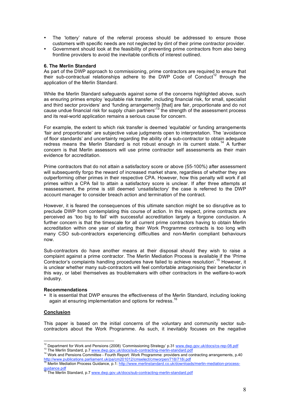- The 'lottery' nature of the referral process should be addressed to ensure those customers with specific needs are not neglected by dint of their prime contractor provider.
- Government should look at the feasibility of preventing prime contractors from also being frontline providers to avoid the inevitable conflicts of interest outlined.

## **6. The Merlin Standard**

As part of the DWP approach to commissioning, prime contractors are required to ensure that their sub-contractual relationships adhere to the DWP Code of Conduct<sup>12</sup> through the application of the Merlin Standard.

While the Merlin Standard safeguards against some of the concerns highlighted above, such as ensuring primes employ 'equitable risk transfer, including financial risk, for small, specialist and third sector providers' and 'funding arrangements [that] are fair, proportionate and do not cause undue financial risk for supply chain partners<sup>13</sup> the strength of the assessment process and its real-world application remains a serious cause for concern.

For example, the extent to which risk transfer is deemed 'equitable' or funding arrangements 'fair and proportionate' are subjective value judgments open to interpretation. The 'avoidance of floor standards' and uncertainty regarding the ability of a sub-contractor to obtain adequate redress means the Merlin Standard is not robust enough in its current state.<sup>14</sup> A further concern is that Merlin assessors will use prime contractor self assessments as their main evidence for accreditation.

Prime contractors that do not attain a satisfactory score or above (55-100%) after assessment will subsequently forgo the reward of increased market share, regardless of whether they are outperforming other primes in their respective CPA. However, how this penalty will work if all primes within a CPA fail to attain a satisfactory score is unclear. If after three attempts at reassessment, the prime is still deemed 'unsatisfactory' the case is referred to the DWP account manager to consider breach action and termination of the contract.

However, it is feared the consequences of this ultimate sanction might be so disruptive as to preclude DWP from contemplating this course of action. In this respect, prime contracts are perceived as 'too big to fail' with successful accreditation largely a forgone conclusion. A further concern is that the timescale for all current prime contractors having to obtain Merlin accreditation within one year of starting their Work Programme contracts is too long with many CSO sub-contractors experiencing difficulties and non-Merlin compliant behaviours now.

Sub-contractors do have another means at their disposal should they wish to raise a complaint against a prime contractor. The Merlin Mediation Process is available if the 'Prime Contractor's complaints handling procedures have failed to achieve resolution'.<sup>15</sup> However, it is unclear whether many sub-contractors will feel comfortable antagonising their benefactor in this way, or label themselves as troublemakers with other contractors in the welfare-to-work industry.

## **Recommendations**

• It is essential that DWP ensures the effectiveness of the Merlin Standard, including looking again at ensuring implementation and options for redress.<sup>16</sup>

## **Conclusion**

This paper is based on the initial concerns of the voluntary and community sector subcontractors about the Work Programme. As such, it inevitably focuses on the negative

<sup>&</sup>lt;sup>12</sup> Department for Work and Pensions (2008) 'Commissioning Strategy' p.31 www.dwp.gov.uk/docs/cs-rep-08.pdf<br><sup>13</sup> The Merlin Standard, p.7 www.dwp.gov.uk/docs/sub-contracting-merlin-standard.pdf<br><sup>14</sup> Work and Pensions Comm

<sup>&</sup>lt;sup>15</sup> Merlin Mediation Process Guidance, p.1: http://www.merlinstandard.co.uk/downloads/merlin-mediation-process-<br>guidance.pdf

The Merlin Standard, p.7 www.dwp.gov.uk/docs/sub-contracting-merlin-standard.pdf